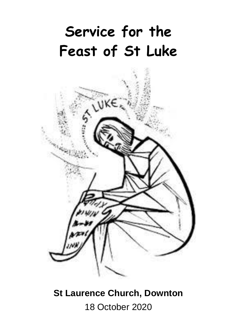# **Service for the Feast of St Luke**



# **St Laurence Church, Downton** 18 October 2020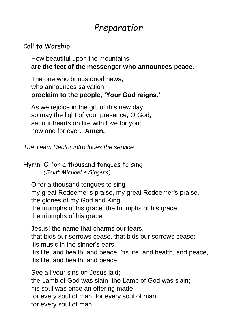# *Preparation*

#### Call to Worship

How beautiful upon the mountains **are the feet of the messenger who announces peace.**

The one who brings good news, who announces salvation, **proclaim to the people, 'Your God reigns.'**

As we rejoice in the gift of this new day, so may the light of your presence, O God, set our hearts on fire with love for you; now and for ever. **Amen.**

*The Team Rector introduces the service*

#### Hymn: O for a thousand tongues to sing *(Saint Michael's Singers)*

O for a thousand tongues to sing my great Redeemer's praise, my great Redeemer's praise, the glories of my God and King, the triumphs of his grace, the triumphs of his grace, the triumphs of his grace!

Jesus! the name that charms our fears, that bids our sorrows cease, that bids our sorrows cease; 'tis music in the sinner's ears, 'tis life, and health, and peace, 'tis life, and health, and peace, 'tis life, and health, and peace.

See all your sins on Jesus laid; the Lamb of God was slain; the Lamb of God was slain; his soul was once an offering made for every soul of man, for every soul of man, for every soul of man.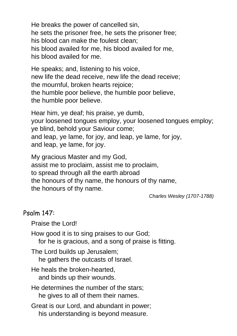He breaks the power of cancelled sin, he sets the prisoner free, he sets the prisoner free; his blood can make the foulest clean; his blood availed for me, his blood availed for me, his blood availed for me.

He speaks; and, listening to his voice, new life the dead receive, new life the dead receive; the mournful, broken hearts rejoice; the humble poor believe, the humble poor believe, the humble poor believe.

Hear him, ye deaf; his praise, ye dumb, your loosened tongues employ, your loosened tongues employ; ye blind, behold your Saviour come; and leap, ye lame, for joy, and leap, ye lame, for joy, and leap, ye lame, for joy.

My gracious Master and my God, assist me to proclaim, assist me to proclaim, to spread through all the earth abroad the honours of thy name, the honours of thy name, the honours of thy name.

*Charles Wesley (1707-1788)*

#### Psalm 147:

Praise the Lord!

How good it is to sing praises to our God;

for he is gracious, and a song of praise is fitting.

The Lord builds up Jerusalem;

he gathers the outcasts of Israel.

He heals the broken-hearted, and binds up their wounds.

He determines the number of the stars; he gives to all of them their names.

Great is our Lord, and abundant in power; his understanding is beyond measure.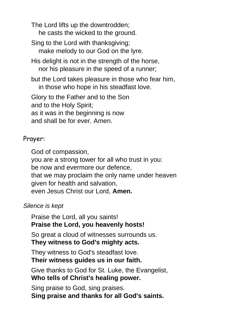The Lord lifts up the downtrodden; he casts the wicked to the ground.

Sing to the Lord with thanksgiving; make melody to our God on the lyre.

His delight is not in the strength of the horse, nor his pleasure in the speed of a runner;

but the Lord takes pleasure in those who fear him, in those who hope in his steadfast love.

Glory to the Father and to the Son and to the Holy Spirit; as it was in the beginning is now and shall be for ever. Amen.

#### Prayer:

God of compassion, you are a strong tower for all who trust in you: be now and evermore our defence, that we may proclaim the only name under heaven given for health and salvation, even Jesus Christ our Lord, **Amen.**

#### *Silence is kept*

Praise the Lord, all you saints! **Praise the Lord, you heavenly hosts!**

So great a cloud of witnesses surrounds us. **They witness to God's mighty acts.**

They witness to God's steadfast love. **Their witness guides us in our faith.**

Give thanks to God for St. Luke, the Evangelist, **Who tells of Christ's healing power.**

Sing praise to God, sing praises. **Sing praise and thanks for all God's saints.**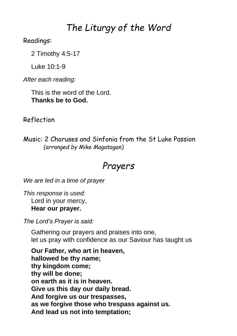## *The Liturgy of the Word*

#### Readings:

2 Timothy 4:5-17

Luke 10:1-9

*After each reading:*

This is the word of the Lord. **Thanks be to God.**

Reflection

Music: 2 Choruses and Sinfonia from the St Luke Passion *(arranged by Mike Magatagan)*

### *Prayers*

*We are led in a time of prayer*

*This response is used:* Lord in your mercy, **Hear our prayer.**

*The Lord's Prayer is said:*

Gathering our prayers and praises into one, let us pray with confidence as our Saviour has taught us

**Our Father, who art in heaven, hallowed be thy name; thy kingdom come; thy will be done; on earth as it is in heaven. Give us this day our daily bread. And forgive us our trespasses, as we forgive those who trespass against us. And lead us not into temptation;**